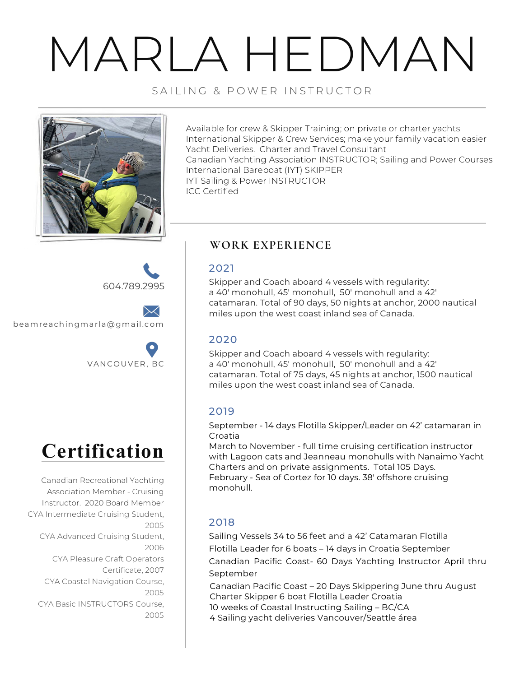# MARLA HEDMAN

SAILING & POWER INSTRUCTOR



Available for crew & Skipper Training; on private or charter yachts International Skipper & Crew Services; make your family vacation easier Yacht Deliveries. Charter and Travel Consultant Canadian Yachting Association INSTRUCTOR; Sailing and Power Courses International Bareboat (IYT) SKIPPER IYT Sailing & Power INSTRUCTOR ICC Certified

604.789.2995

beamreachingmarla@gmail.com





Canadian Recreational Yachting Association Member - Cruising Instructor. 2020 Board Member CYA Intermediate Cruising Student, 2005 CYA Advanced Cruising Student, 2006 CYA Pleasure Craft Operators Certificate, 2007 CYA Coastal Navigation Course, 2005 CYA Basic INSTRUCTORS Course, 2005

# **WORK EXPERIENCE**

### 2021

Skipper and Coach aboard 4 vessels with regularity: a 40' monohull, 45' monohull, 50' monohull and a 42' catamaran. Total of 90 days, 50 nights at anchor, 2000 nautical miles upon the west coast inland sea of Canada.

# 2020

Skipper and Coach aboard 4 vessels with regularity: a 40' monohull, 45' monohull, 50' monohull and a 42' catamaran. Total of 75 days, 45 nights at anchor, 1500 nautical miles upon the west coast inland sea of Canada.

# 2019

September - 14 days Flotilla Skipper/Leader on 42' catamaran in Croatia

March to November - full time cruising certification instructor with Lagoon cats and Jeanneau monohulls with Nanaimo Yacht Charters and on private assignments. Total 105 Days. February - Sea of Cortez for 10 days. 38' offshore cruising monohull.

# 2018

Sailing Vessels 34 to 56 feet and a 42' Catamaran Flotilla Flotilla Leader for 6 boats – 14 days in Croatia September Canadian Pacific Coast- 60 Days Yachting Instructor April thru September

20 Canadian Pacific Coast – 20 Days Skippering June thru August Charter Skipper 6 boat Flotilla Leader Croatia 20 10 weeks of Coastal Instructing Sailing – BC/CA

4 Sailing yacht deliveries Vancouver/Seattle área